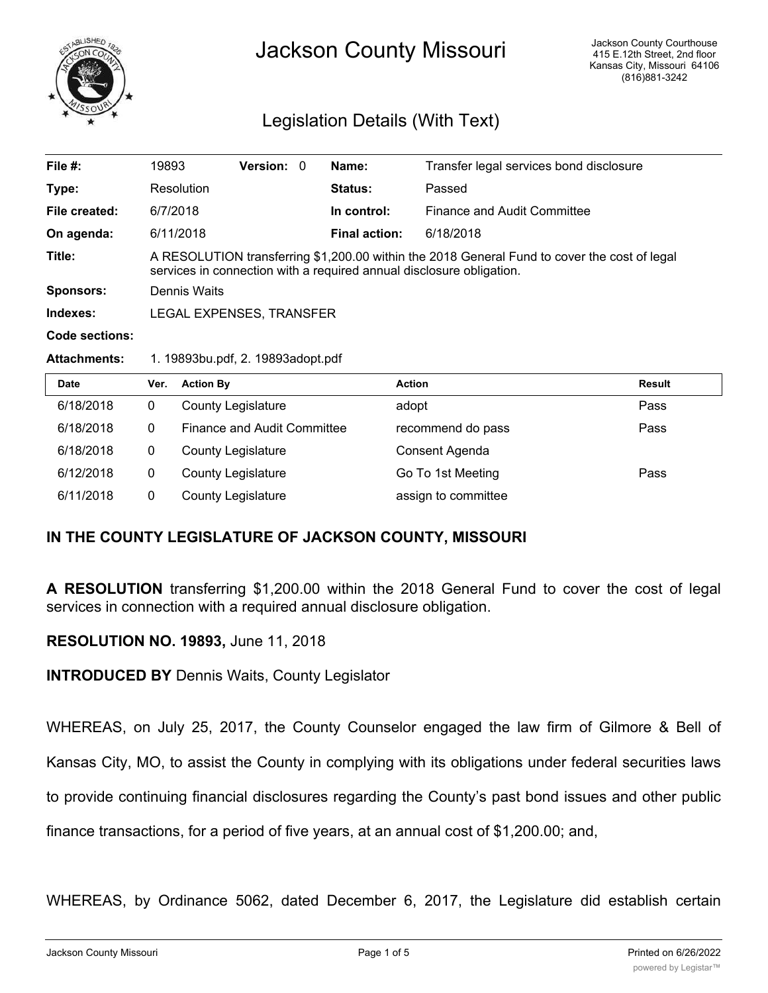

# Jackson County Missouri

# Legislation Details (With Text)

| File $#$ :     | 19893                                                                                                                                                                | <b>Version: 0</b> |  | Name:                | Transfer legal services bond disclosure |
|----------------|----------------------------------------------------------------------------------------------------------------------------------------------------------------------|-------------------|--|----------------------|-----------------------------------------|
| Type:          | Resolution                                                                                                                                                           |                   |  | Status:              | Passed                                  |
| File created:  | 6/7/2018                                                                                                                                                             |                   |  | In control:          | Finance and Audit Committee             |
| On agenda:     | 6/11/2018                                                                                                                                                            |                   |  | <b>Final action:</b> | 6/18/2018                               |
| Title:         | A RESOLUTION transferring \$1,200.00 within the 2018 General Fund to cover the cost of legal<br>services in connection with a required annual disclosure obligation. |                   |  |                      |                                         |
| Sponsors:      | Dennis Waits                                                                                                                                                         |                   |  |                      |                                         |
| Indexes:       | LEGAL EXPENSES, TRANSFER                                                                                                                                             |                   |  |                      |                                         |
| Code sections: |                                                                                                                                                                      |                   |  |                      |                                         |
|                |                                                                                                                                                                      |                   |  |                      |                                         |

#### **Attachments:** 1. 19893bu.pdf, 2. 19893adopt.pdf

| <b>Date</b> | Ver. | <b>Action By</b>            | <b>Action</b>       | <b>Result</b> |
|-------------|------|-----------------------------|---------------------|---------------|
| 6/18/2018   | 0    | <b>County Legislature</b>   | adopt               | Pass          |
| 6/18/2018   | 0    | Finance and Audit Committee | recommend do pass   | Pass          |
| 6/18/2018   | 0    | <b>County Legislature</b>   | Consent Agenda      |               |
| 6/12/2018   | 0    | <b>County Legislature</b>   | Go To 1st Meeting   | Pass          |
| 6/11/2018   | 0    | <b>County Legislature</b>   | assign to committee |               |

## **IN THE COUNTY LEGISLATURE OF JACKSON COUNTY, MISSOURI**

**A RESOLUTION** transferring \$1,200.00 within the 2018 General Fund to cover the cost of legal services in connection with a required annual disclosure obligation.

## **RESOLUTION NO. 19893,** June 11, 2018

**INTRODUCED BY** Dennis Waits, County Legislator

WHEREAS, on July 25, 2017, the County Counselor engaged the law firm of Gilmore & Bell of

Kansas City, MO, to assist the County in complying with its obligations under federal securities laws

to provide continuing financial disclosures regarding the County's past bond issues and other public

finance transactions, for a period of five years, at an annual cost of \$1,200.00; and,

WHEREAS, by Ordinance 5062, dated December 6, 2017, the Legislature did establish certain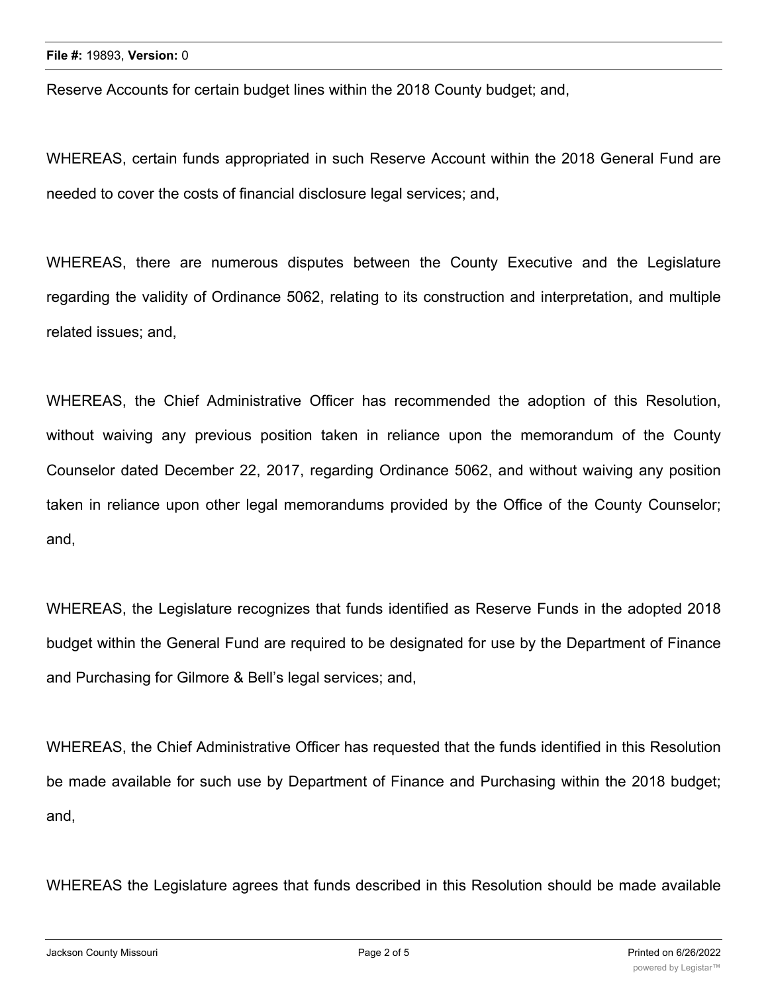Reserve Accounts for certain budget lines within the 2018 County budget; and,

WHEREAS, certain funds appropriated in such Reserve Account within the 2018 General Fund are needed to cover the costs of financial disclosure legal services; and,

WHEREAS, there are numerous disputes between the County Executive and the Legislature regarding the validity of Ordinance 5062, relating to its construction and interpretation, and multiple related issues; and,

WHEREAS, the Chief Administrative Officer has recommended the adoption of this Resolution, without waiving any previous position taken in reliance upon the memorandum of the County Counselor dated December 22, 2017, regarding Ordinance 5062, and without waiving any position taken in reliance upon other legal memorandums provided by the Office of the County Counselor; and,

WHEREAS, the Legislature recognizes that funds identified as Reserve Funds in the adopted 2018 budget within the General Fund are required to be designated for use by the Department of Finance and Purchasing for Gilmore & Bell's legal services; and,

WHEREAS, the Chief Administrative Officer has requested that the funds identified in this Resolution be made available for such use by Department of Finance and Purchasing within the 2018 budget; and,

WHEREAS the Legislature agrees that funds described in this Resolution should be made available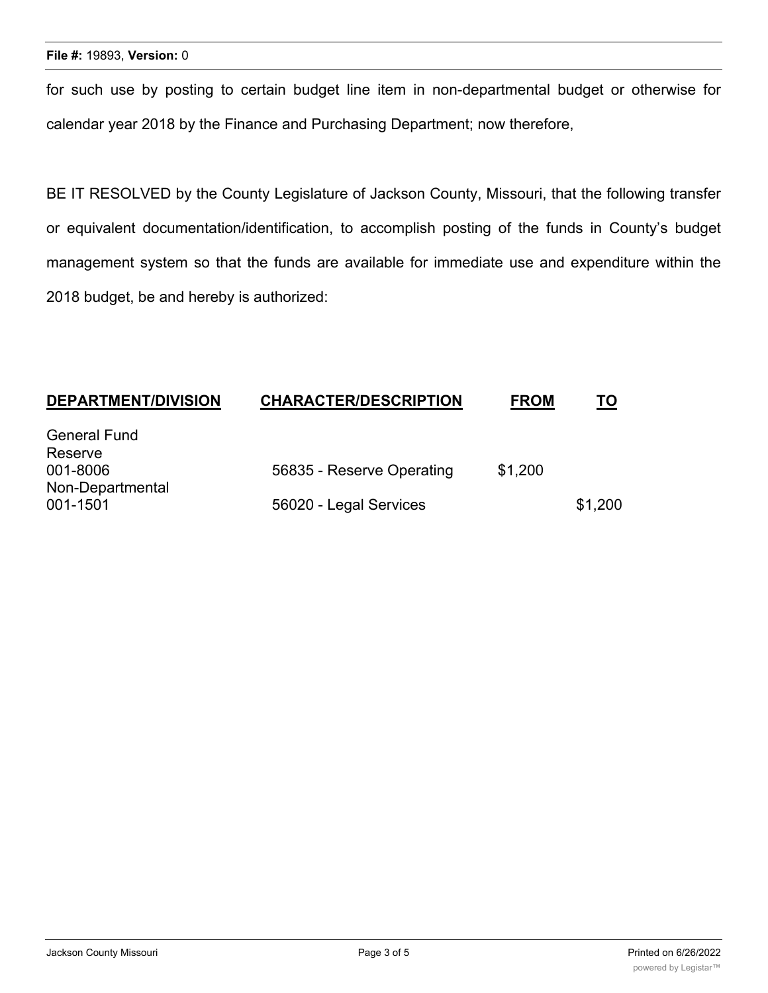for such use by posting to certain budget line item in non-departmental budget or otherwise for calendar year 2018 by the Finance and Purchasing Department; now therefore,

BE IT RESOLVED by the County Legislature of Jackson County, Missouri, that the following transfer or equivalent documentation/identification, to accomplish posting of the funds in County's budget management system so that the funds are available for immediate use and expenditure within the 2018 budget, be and hereby is authorized:

| <b>DEPARTMENT/DIVISION</b> | <b>CHARACTER/DESCRIPTION</b> | <b>FROM</b> | <u>TO</u> |
|----------------------------|------------------------------|-------------|-----------|
| <b>General Fund</b>        |                              |             |           |
| Reserve                    |                              |             |           |
| 001-8006                   | 56835 - Reserve Operating    | \$1,200     |           |
| Non-Departmental           |                              |             |           |
| 001-1501                   | 56020 - Legal Services       |             | \$1,200   |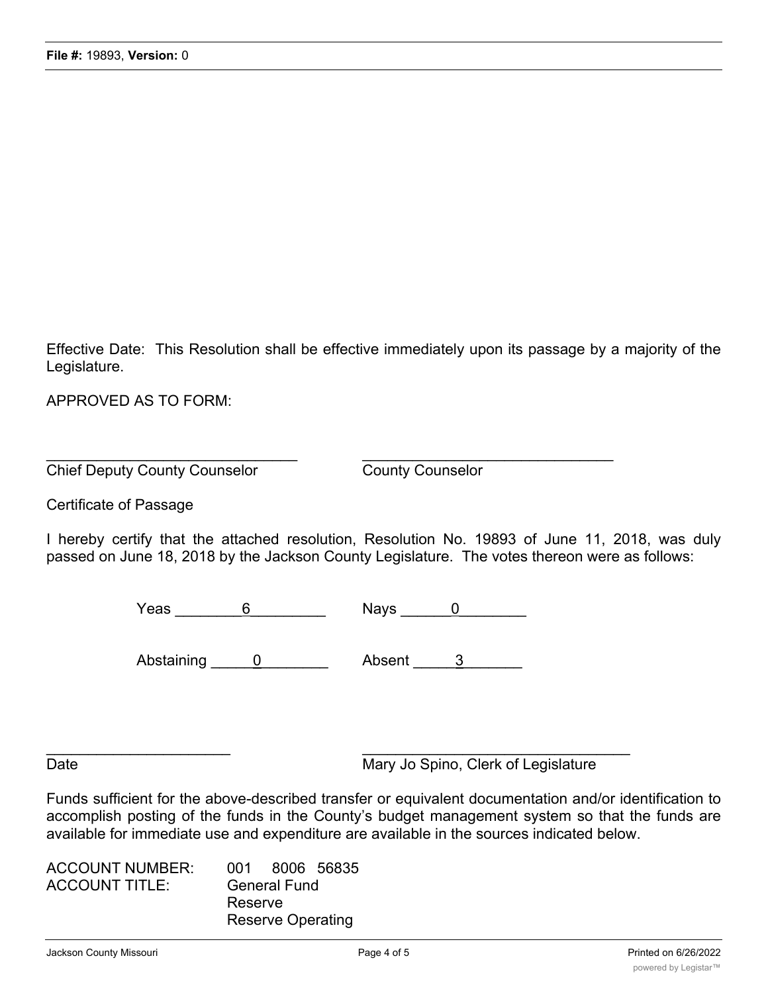Effective Date: This Resolution shall be effective immediately upon its passage by a majority of the Legislature.

APPROVED AS TO FORM:

Chief Deputy County Counselor County Counselor

Certificate of Passage

I hereby certify that the attached resolution, Resolution No. 19893 of June 11, 2018, was duly passed on June 18, 2018 by the Jackson County Legislature. The votes thereon were as follows:

Yeas 6 Nays 0

 $\overline{\phantom{a}}$  , and the contract of the contract of the contract of the contract of the contract of the contract of the contract of the contract of the contract of the contract of the contract of the contract of the contrac

 $\overline{\phantom{a}}$  , and the contribution of the contribution of the contribution of the contribution of the contribution of the contribution of the contribution of the contribution of the contribution of the contribution of the

Abstaining 0 Absent 3 2

Date Mary Jo Spino, Clerk of Legislature

Funds sufficient for the above-described transfer or equivalent documentation and/or identification to accomplish posting of the funds in the County's budget management system so that the funds are available for immediate use and expenditure are available in the sources indicated below.

| <b>ACCOUNT NUMBER:</b> | 001 8006 56835           |
|------------------------|--------------------------|
| <b>ACCOUNT TITLE:</b>  | <b>General Fund</b>      |
|                        | Reserve                  |
|                        | <b>Reserve Operating</b> |